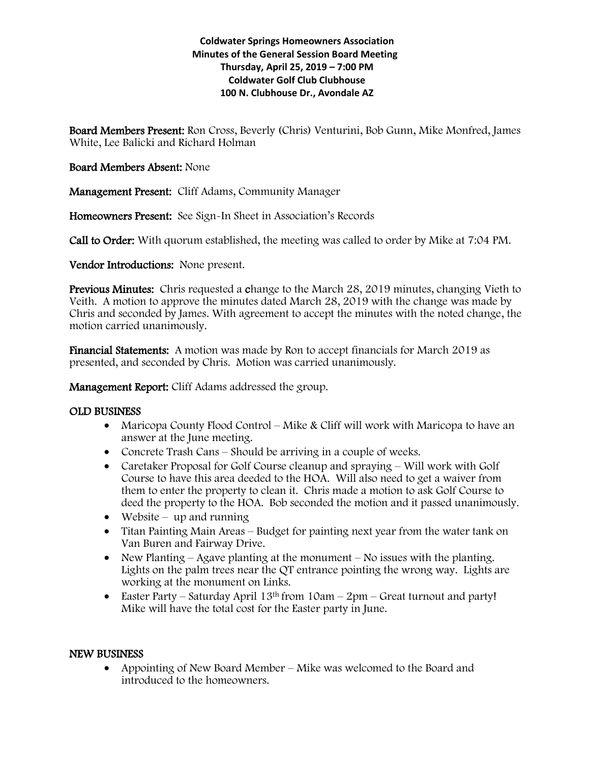## **Coldwater Springs Homeowners Association Minutes of the General Session Board Meeting Thursday, April 25, 2019 – 7:00 PM Coldwater Golf Club Clubhouse 100 N. Clubhouse Dr., Avondale AZ**

Board Members Present: Ron Cross, Beverly (Chris) Venturini, Bob Gunn, Mike Monfred, James White, Lee Balicki and Richard Holman

# Board Members Absent: None

Management Present: Cliff Adams, Community Manager

Homeowners Present: See Sign-In Sheet in Association's Records

Call to Order: With quorum established, the meeting was called to order by Mike at 7:04 PM.

Vendor Introductions: None present.

Previous Minutes: Chris requested a change to the March 28, 2019 minutes, changing Vieth to Veith. A motion to approve the minutes dated March 28, 2019 with the change was made by Chris and seconded by James. With agreement to accept the minutes with the noted change, the motion carried unanimously.

Financial Statements: A motion was made by Ron to accept financials for March 2019 as presented, and seconded by Chris. Motion was carried unanimously.

Management Report: Cliff Adams addressed the group.

## OLD BUSINESS

- Maricopa County Flood Control Mike & Cliff will work with Maricopa to have an answer at the June meeting.
- Concrete Trash Cans Should be arriving in a couple of weeks.
- Caretaker Proposal for Golf Course cleanup and spraying Will work with Golf Course to have this area deeded to the HOA. Will also need to get a waiver from them to enter the property to clean it. Chris made a motion to ask Golf Course to deed the property to the HOA. Bob seconded the motion and it passed unanimously.
- $\bullet$  Website up and running
- Titan Painting Main Areas Budget for painting next year from the water tank on Van Buren and Fairway Drive.
- New Planting Agave planting at the monument No issues with the planting. Lights on the palm trees near the QT entrance pointing the wrong way. Lights are working at the monument on Links.
- Easter Party Saturday April 13<sup>th</sup> from  $10am 2pm$  Great turnout and party! Mike will have the total cost for the Easter party in June.

## NEW BUSINESS

• Appointing of New Board Member – Mike was welcomed to the Board and introduced to the homeowners.